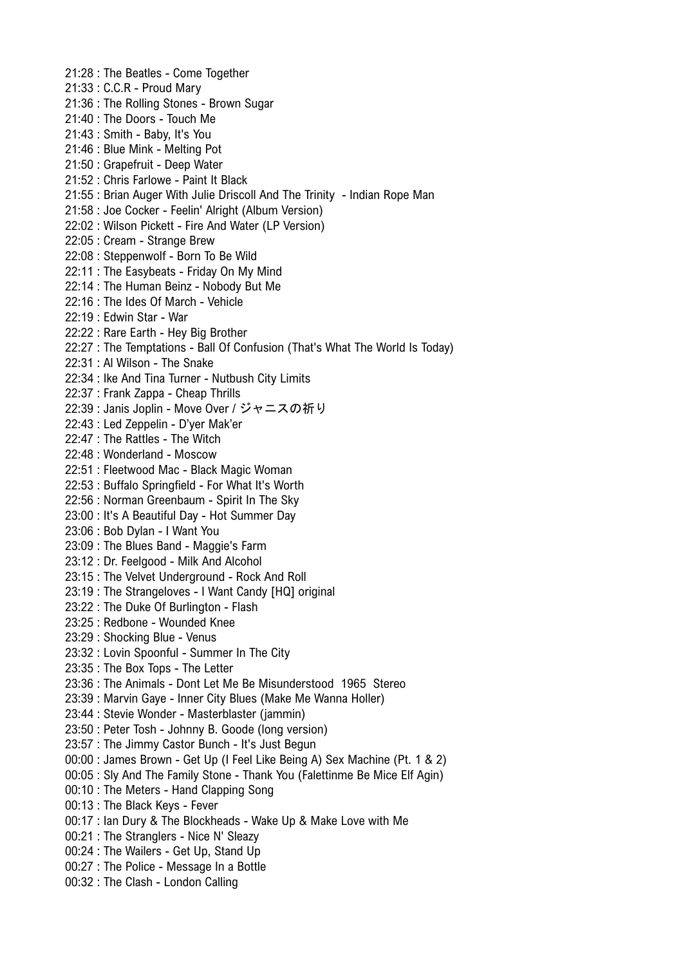21:28 : The Beatles - Come Together 21:33 : C.C.R - Proud Mary 21:36 : The Rolling Stones - Brown Sugar 21:40 : The Doors - Touch Me 21:43 : Smith - Baby, It's You 21:46 : Blue Mink - Melting Pot 21:50 : Grapefruit - Deep Water 21:52 : Chris Farlowe - Paint It Black 21:55 : Brian Auger With Julie Driscoll And The Trinity - Indian Rope Man 21:58 : Joe Cocker - Feelin' Alright (Album Version) 22:02 : Wilson Pickett - Fire And Water (LP Version) 22:05 : Cream - Strange Brew 22:08 : Steppenwolf - Born To Be Wild 22:11 : The Easybeats - Friday On My Mind 22:14 : The Human Beinz - Nobody But Me 22:16 : The Ides Of March - Vehicle 22:19 : Edwin Star - War 22:22 : Rare Earth - Hey Big Brother 22:27 : The Temptations - Ball Of Confusion (That's What The World Is Today) 22:31 : Al Wilson - The Snake 22:34 : Ike And Tina Turner - Nutbush City Limits 22:37 : Frank Zappa - Cheap Thrills 22:39 : Janis Joplin - Move Over / ジャニスの祈り 22:43 : Led Zeppelin - D'ver Mak'er 22:47 : The Rattles - The Witch 22:48 : Wonderland - Moscow 22:51 : Fleetwood Mac - Black Magic Woman 22:53 : Buffalo Springfield - For What It's Worth 22:56 : Norman Greenbaum - Spirit In The Sky 23:00 : It's A Beautiful Day - Hot Summer Day 23:06 : Bob Dylan - I Want You 23:09 : The Blues Band - Maggie's Farm 23:12 : Dr. Feelgood - Milk And Alcohol 23:15 : The Velvet Underground - Rock And Roll 23:19 : The Strangeloves - I Want Candy [HQ] original 23:22 : The Duke Of Burlington - Flash 23:25 : Redbone - Wounded Knee 23:29 : Shocking Blue - Venus 23:32 : Lovin Spoonful - Summer In The City 23:35 : The Box Tops - The Letter 23:36 : The Animals - Dont Let Me Be Misunderstood 1965 Stereo 23:39 : Marvin Gaye - Inner City Blues (Make Me Wanna Holler) 23:44 : Stevie Wonder - Masterblaster (jammin) 23:50 : Peter Tosh - Johnny B. Goode (long version) 23:57 : The Jimmy Castor Bunch - It's Just Begun 00:00 : James Brown - Get Up (I Feel Like Being A) Sex Machine (Pt. 1 & 2) 00:05 : Sly And The Family Stone - Thank You (Falettinme Be Mice Elf Agin) 00:10 : The Meters - Hand Clapping Song 00:13 : The Black Keys - Fever 00:17 : Ian Dury & The Blockheads - Wake Up & Make Love with Me 00:21 : The Stranglers - Nice N' Sleazy 00:24 : The Wailers - Get Up, Stand Up 00:27 : The Police - Message In a Bottle 00:32 : The Clash - London Calling